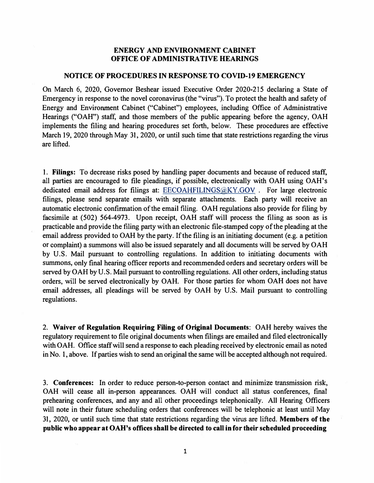## **ENERGY AND ENVIRONMENT CABINET OFFICE OF ADMINISTRATIVE HEARINGS**

## **NOTICE OF PROCEDURES IN RESPONSE TO COVID-19 EMERGENCY**

On March 6, 2020, Governor Beshear issued Executive Order 2020-215 declaring a State of Emergency in response to the novel coronavirus (the "virus"). To protect the health and safety of Energy and Environment Cabinet ("Cabinet") employees, including Office of Administrative Hearings ("OAH") staff, and those members of the public appearing before the agency, OAH implements the filing and hearing procedures set forth, below. These procedures are effective March 19, 2020 through May 31, 2020, or until such time that state restrictions regarding the virus are lifted.

1. **Filings:** To decrease risks posed by handling paper documents and because of reduced staff, all parties are encouraged to file pleadings, if possible, electronically with OAH using OAH's dedicated email address for filings at: EECOAHFILINGS@KY.GOV . For large electronic filings, please send separate emails with separate attachments. Each party will receive an automatic electronic confirmation of the email filing. OAH regulations also provide for filing by facsimile at (502) 564-4973. Upon receipt, OAH staff will process the filing as soon as is practicable and provide the filing party with an electronic file-stamped copy of the pleading at the email address provided to OAH by the party. If the filing is an initiating document (e.g. a petition or complaint) a summons will also be issued separately and all documents will be served by OAH by U.S. Mail pursuant to controlling regulations. In addition to initiating documents with summons, only final hearing officer reports and recommended orders and secretary orders will be served by OAH by U.S. Mail pursuant to controlling regulations. All other orders, including status orders, will be served electronically by OAH. For those parties for whom OAH does not have email addresses, all pleadings will be served by OAH by U.S. Mail pursuant to controlling regulations.

2. **Waiver of Regulation Requiring Filing of Original Documents:** OAH hereby waives the regulatory requirement to file original documents when filings are emailed and filed electronically with OAH. Office staff will send a response to each pleading received by electronic email as noted in No. 1, above. If parties wish to send an original the same will be accepted although not required.

3. **Conferences:** In order to reduce person-to-person contact and minimize transmission risk, OAH will cease all in-person appearances. OAH will conduct all status conferences, final prehearing conferences, and any and all other proceedings telephonically. All Hearing Officers will note in their future scheduling orders that conferences will be telephonic at least until May 31, 2020, or until such time that state restrictions regarding the virus are lifted. **Members of the public who appear at OAH's offices shall be directed to call infor their scheduled proceeding**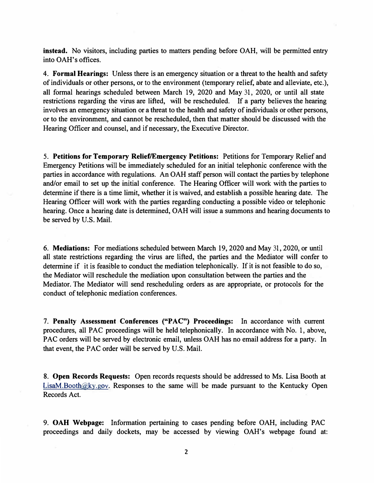**instead.** No visitors, including parties to matters pending before OAH, will be permitted entry into OAH's offices.

4. **Formal Hearings:** Unless there is an emergency situation or a threat to the health and safety of individuals or other persons, or to the environment (temporary relief, abate and alleviate, etc.), all formal hearings scheduled between March 19, 2020 and May 31, 2020, or until all state restrictions regarding the virus are lifted, will be rescheduled. If a party believes the hearing involves an emergency situation or a threat to the health and safety of individuals or other persons, or to the environment, and cannot be rescheduled, then that matter should be discussed with the Hearing Officer and counsel, and if necessary, the Executive Director.

5. **Petitions for Temporary Relief/Emergency Petitions:** Petitions for Temporary Relief and Emergency Petitions will be immediately scheduled for an initial telephonic conference with the parties in accordance with regulations. An OAH staff person will contact the parties by telephone and/or email to set up the initial conference. The Hearing Officer will work with the parties to determine if there is a time limit, whether it is waived, and establish a possible hearing date. The Hearing Officer will work with the parties regarding conducting a possible video or telephonic hearing. Once a hearing date is determined, OAH will issue a summons and hearing documents to be served by U.S. Mail.

6. **Mediations:** For mediations scheduled between March 19, 2020 and May 31, 2020, or until all state restrictions regarding the virus are lifted, the parties and the Mediator will confer to determine if it is feasible to conduct the mediation telephonically. If it is not feasible to do so, the Mediator will reschedule the mediation upon consultation between the parties and the Mediator. The Mediator will send rescheduling orders as are appropriate, or protocols for the conduct of telephonic mediation conferences.

7. **Penalty Assessment Conferences ("PAC") Proceedings:** In accordance with current procedures, all PAC proceedings will be held telephonically. In accordance with No. 1, above, PAC orders will be served by electronic email, unless OAH has no email address for a party. In that event, the PAC order will be served by U.S. Mail.

8. **Open Records Requests:** Open records requests should be addressed to Ms. Lisa Booth at LisaM.Booth@ky.gov. Responses to the same will be made pursuant to the Kentucky Open Records Act.

9. **OAH Webpage:** Information pertaining to cases pending before OAH, including PAC proceedings and daily dockets, may be accessed by viewing OAH's webpage found at: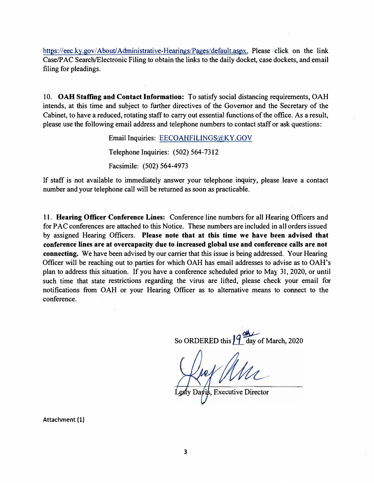https://eec.ky.gov/ About/ Administrative-Hearings/Pages/default.aspx. Please dick on the link Case/PAC Search/Electronic Filing to obtain the links to the daily docket, case dockets, and email filing for pleadings.

10. **OAH Staffing and Contact Information:** To satisfy social distancing requirements, OAH intends, at this time and subject to further directives of the Governor and the Secretary of the Cabinet, to have a reduced, rotating staff to carry out essential functions of the office. As a result, please use the following email address and telephone numbers to contact staff or ask questions:

> Email Inquiries: EECOAHFILJNGS(@,KY.GOV Telephone Inquiries: (502) 564-7312 Facsimile: (502) 564-4973

If staff is not available to immediately answer your telephone inquiry, please leave a contact number and your telephone call will be returned as soon as practicable.

11. **Hearing Officer Conference Lines:** Conference line numbers for all Hearing Officers and for PAC conferences are attached to this Notice. These numbers are included in all orders issued by assigned Hearing Officers. **Please note that at this time we have been advised that conference lines are at overcapacity due to increased global use and conference calls are not connecting.** We have been advised by our carrier that this issue is being addressed. Your Hearing Officer will be reaching out to parties for which OAH has email addresses to advise as to OAH's plan to address this situation. If you have a conference scheduled prior to May 31, 2020, or until such time that state restrictions regarding the virus are lifted, please check your email for notifications from OAH or your Hearing Officer as to alternative means to connect to the conference.

So ORDERED this  $\sqrt{\frac{9}{1}}$  day of March, 2020

is, Executive Director

**Attachment (1)**